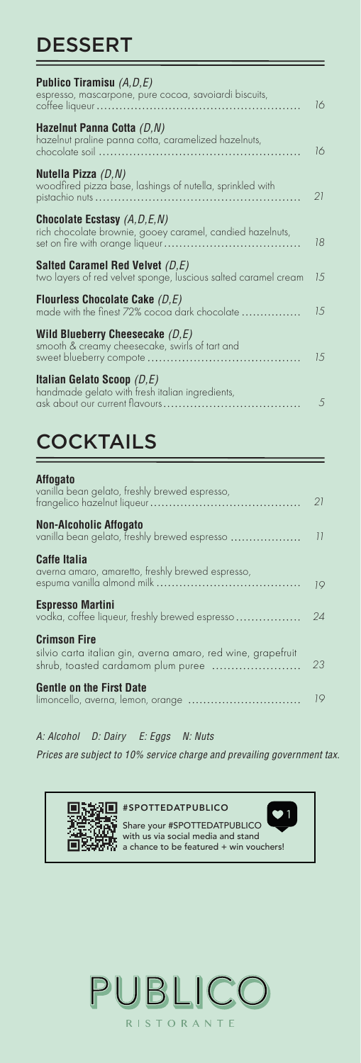# DESSERT

| <b>Publico Tiramisu</b> $(A, D, E)$                                                                  |     |
|------------------------------------------------------------------------------------------------------|-----|
| espresso, mascarpone, pure cocoa, savoiardi biscuits,                                                | 16  |
| Hazelnut Panna Cotta (D, N)<br>hazelnut praline panna cotta, caramelized hazelnuts,                  | 16  |
| Nutella Pizza $(D, N)$<br>woodfired pizza base, lashings of nutella, sprinkled with                  | 21  |
| <b>Chocolate Ecstasy</b> $(A, D, E, N)$<br>rich chocolate brownie, gooey caramel, candied hazelnuts, | 18  |
| Salted Caramel Red Velvet $(D,E)$<br>two layers of red velvet sponge, luscious salted caramel cream  | 15  |
| Flourless Chocolate Cake $(D,E)$<br>made with the finest 72% cocoa dark chocolate                    | 1.5 |
| Wild Blueberry Cheesecake $(D,E)$<br>smooth & creamy cheesecake, swirls of tart and                  | 1.5 |
| Italian Gelato Scoop $(D,E)$<br>handmade gelato with fresh italian ingredients,                      | .5  |
|                                                                                                      |     |

# **COCKTAILS**

### **Affogato**  vanilla bean gelato, freshly brewed espresso, frangelico hazelnut liqueur ................... *21* . . . . . . . . . . . . . . . . . . . **Non-Alcoholic Affogato**  vanilla bean gelato, freshly brewed espresso *11* **Caffe Italia**  averna amaro, amaretto, freshly brewed espresso, espuma vanilla almond milk *19* **Espresso Martini** vodka, coffee liqueur, freshly brewed espresso *24* **Crimson Fire**  silvio carta italian gin, averna amaro, red wine, grapefruit shrub, toasted cardamom plum puree *23* **Gentle on the First Date**  *19* limoncello, averna, lemon, orange

*A: Alcohol D: Dairy E: Eggs N: Nuts*

*Prices are subject to 10% service charge and prevailing government tax.*



Share your #SPOTTEDATPUBLICO with us via social media and stand a chance to be featured + win vouchers!

1